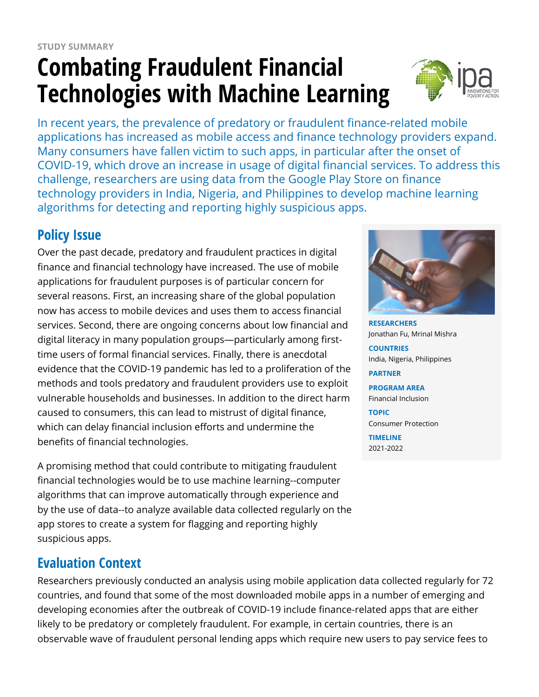# **Combating Fraudulent Financial Technologies with Machine Learning**



In recent years, the prevalence of predatory or fraudulent finance-related mobile applications has increased as mobile access and finance technology providers expand. Many consumers have fallen victim to such apps, in particular after the onset of COVID-19, which drove an increase in usage of digital financial services. To address this challenge, researchers are using data from the Google Play Store on finance technology providers in India, Nigeria, and Philippines to develop machine learning algorithms for detecting and reporting highly suspicious apps.

# **Policy Issue**

Over the past decade, predatory and fraudulent practices in digital finance and financial technology have increased. The use of mobile applications for fraudulent purposes is of particular concern for several reasons. First, an increasing share of the global population now has access to mobile devices and uses them to access financial services. Second, there are ongoing concerns about low financial and digital literacy in many population groups—particularly among firsttime users of formal financial services. Finally, there is anecdotal evidence that the COVID-19 pandemic has led to a proliferation of the methods and tools predatory and fraudulent providers use to exploit vulnerable households and businesses. In addition to the direct harm caused to consumers, this can lead to mistrust of digital finance, which can delay financial inclusion efforts and undermine the benefits of financial technologies.

A promising method that could contribute to mitigating fraudulent financial technologies would be to use machine learning--computer algorithms that can improve automatically through experience and by the use of data--to analyze available data collected regularly on the app stores to create a system for flagging and reporting highly suspicious apps.

## **Evaluation Context**

Researchers previously conducted an analysis using mobile application data collected regularly for 72 countries, and found that some of the most downloaded mobile apps in a number of emerging and developing economies after the outbreak of COVID-19 include finance-related apps that are either likely to be predatory or completely fraudulent. For example, in certain countries, there is an observable wave of fraudulent personal lending apps which require new users to pay service fees to



**RESEARCHERS** Jonathan Fu, Mrinal Mishra

**COUNTRIES** India, Nigeria, Philippines

**PARTNER**

**PROGRAM AREA** Financial Inclusion

**TOPIC** Consumer Protection

**TIMELINE** 2021-2022